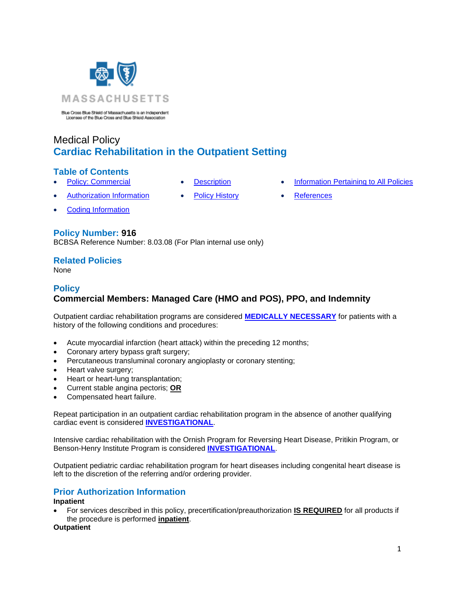

Blue Cross Blue Shield of Massachusetts is an Independent<br>Licensee of the Blue Cross and Blue Shield Association

# Medical Policy **Cardiac Rehabilitation in the Outpatient Setting**

### **Table of Contents**

- 
- 
- **[Policy: Commercial](#page-0-0) [Description](#page-4-0) [Information Pertaining to All Policies](#page-6-0)**
- [Authorization Information](#page-0-1) [Policy History](#page-5-0) [References](#page-6-1)
- [Coding Information](#page-1-0)

### **Policy Number: 916**

BCBSA Reference Number: 8.03.08 (For Plan internal use only)

### **Related Policies**

<span id="page-0-0"></span>None

### **Policy Commercial Members: Managed Care (HMO and POS), PPO, and Indemnity**

Outpatient cardiac rehabilitation programs are considered **[MEDICALLY NECESSARY](https://www.bluecrossma.org/medical-policies/sites/g/files/csphws2091/files/acquiadam-assets/Definition%20of%20Med%20Nec%20Inv%20Not%20Med%20Nec%20prn.pdf#page=1)** for patients with a history of the following conditions and procedures:

- Acute myocardial infarction (heart attack) within the preceding 12 months;
- Coronary artery bypass graft surgery;
- Percutaneous transluminal coronary angioplasty or coronary stenting;
- Heart valve surgery;
- Heart or heart-lung transplantation;
- Current stable angina pectoris; **OR**
- Compensated heart failure.

Repeat participation in an outpatient cardiac rehabilitation program in the absence of another qualifying cardiac event is considered **[INVESTIGATIONAL](https://www.bluecrossma.org/medical-policies/sites/g/files/csphws2091/files/acquiadam-assets/Definition%20of%20Med%20Nec%20Inv%20Not%20Med%20Nec%20prn.pdf#page=1)**.

Intensive cardiac rehabilitation with the Ornish Program for Reversing Heart Disease, Pritikin Program, or Benson-Henry Institute Program is considered **[INVESTIGATIONAL](https://www.bluecrossma.org/medical-policies/sites/g/files/csphws2091/files/acquiadam-assets/Definition%20of%20Med%20Nec%20Inv%20Not%20Med%20Nec%20prn.pdf#page=1)**.

Outpatient pediatric cardiac rehabilitation program for heart diseases including congenital heart disease is left to the discretion of the referring and/or ordering provider.

### <span id="page-0-1"></span>**Prior Authorization Information**

#### **Inpatient**

• For services described in this policy, precertification/preauthorization **IS REQUIRED** for all products if the procedure is performed **inpatient**.

### **Outpatient**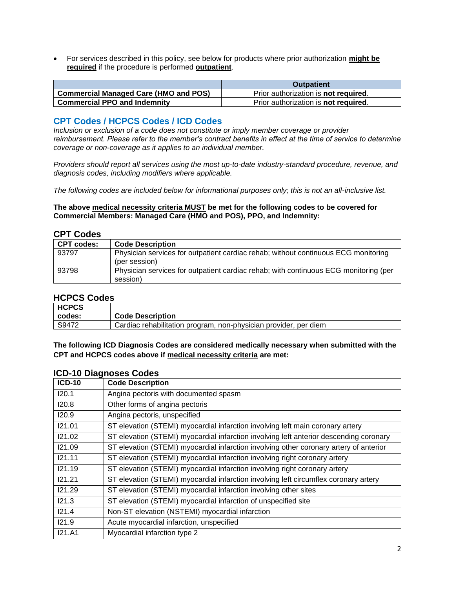• For services described in this policy, see below for products where prior authorization **might be required** if the procedure is performed **outpatient**.

|                                              | <b>Outpatient</b>                            |
|----------------------------------------------|----------------------------------------------|
| <b>Commercial Managed Care (HMO and POS)</b> | Prior authorization is <b>not required</b> . |
| <b>Commercial PPO and Indemnity</b>          | Prior authorization is <b>not required</b> . |

### <span id="page-1-0"></span>**CPT Codes / HCPCS Codes / ICD Codes**

*Inclusion or exclusion of a code does not constitute or imply member coverage or provider reimbursement. Please refer to the member's contract benefits in effect at the time of service to determine coverage or non-coverage as it applies to an individual member.*

*Providers should report all services using the most up-to-date industry-standard procedure, revenue, and diagnosis codes, including modifiers where applicable.*

*The following codes are included below for informational purposes only; this is not an all-inclusive list.*

**The above medical necessity criteria MUST be met for the following codes to be covered for Commercial Members: Managed Care (HMO and POS), PPO, and Indemnity:**

### **CPT Codes**

| <b>CPT codes:</b> | <b>Code Description</b>                                                              |
|-------------------|--------------------------------------------------------------------------------------|
| 93797             | Physician services for outpatient cardiac rehab; without continuous ECG monitoring   |
|                   | (per session)                                                                        |
| 93798             | Physician services for outpatient cardiac rehab; with continuous ECG monitoring (per |
|                   | session)                                                                             |

### **HCPCS Codes**

| <b>HCPCS</b> |                                                                  |
|--------------|------------------------------------------------------------------|
| codes:       | <b>Code Description</b>                                          |
| S9472        | Cardiac rehabilitation program, non-physician provider, per diem |

**The following ICD Diagnosis Codes are considered medically necessary when submitted with the CPT and HCPCS codes above if medical necessity criteria are met:**

| <b>ICD-10</b> | <b>Code Description</b>                                                                |
|---------------|----------------------------------------------------------------------------------------|
| 120.1         | Angina pectoris with documented spasm                                                  |
| 120.8         | Other forms of angina pectoris                                                         |
| 120.9         | Angina pectoris, unspecified                                                           |
| 121.01        | ST elevation (STEMI) myocardial infarction involving left main coronary artery         |
| 121.02        | ST elevation (STEMI) myocardial infarction involving left anterior descending coronary |
| 121.09        | ST elevation (STEMI) myocardial infarction involving other coronary artery of anterior |
| 121.11        | ST elevation (STEMI) myocardial infarction involving right coronary artery             |
| 121.19        | ST elevation (STEMI) myocardial infarction involving right coronary artery             |
| 121.21        | ST elevation (STEMI) myocardial infarction involving left circumflex coronary artery   |
| 121.29        | ST elevation (STEMI) myocardial infarction involving other sites                       |
| 121.3         | ST elevation (STEMI) myocardial infarction of unspecified site                         |
| 121.4         | Non-ST elevation (NSTEMI) myocardial infarction                                        |
| 121.9         | Acute myocardial infarction, unspecified                                               |
| <b>I21.A1</b> | Myocardial infarction type 2                                                           |

### **ICD-10 Diagnoses Codes**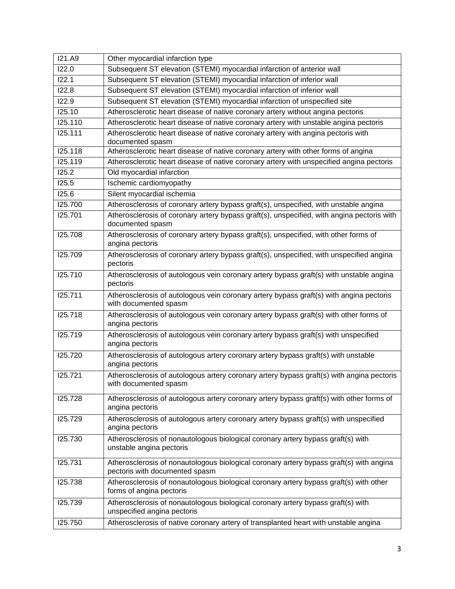| <b>I21.A9</b> | Other myocardial infarction type                                                                                          |
|---------------|---------------------------------------------------------------------------------------------------------------------------|
| 122.0         | Subsequent ST elevation (STEMI) myocardial infarction of anterior wall                                                    |
| 122.1         | Subsequent ST elevation (STEMI) myocardial infarction of inferior wall                                                    |
| 122.8         | Subsequent ST elevation (STEMI) myocardial infarction of inferior wall                                                    |
| 122.9         | Subsequent ST elevation (STEMI) myocardial infarction of unspecified site                                                 |
| 125.10        | Atherosclerotic heart disease of native coronary artery without angina pectoris                                           |
| 125.110       | Atherosclerotic heart disease of native coronary artery with unstable angina pectoris                                     |
| 125.111       | Atherosclerotic heart disease of native coronary artery with angina pectoris with<br>documented spasm                     |
| I25.118       | Atherosclerotic heart disease of native coronary artery with other forms of angina                                        |
| I25.119       | Atherosclerotic heart disease of native coronary artery with unspecified angina pectoris                                  |
| 125.2         | Old myocardial infarction                                                                                                 |
| 125.5         | Ischemic cardiomyopathy                                                                                                   |
| I25.6         | Silent myocardial ischemia                                                                                                |
| 125.700       | Atherosclerosis of coronary artery bypass graft(s), unspecified, with unstable angina                                     |
| 125.701       | Atherosclerosis of coronary artery bypass graft(s), unspecified, with angina pectoris with<br>documented spasm            |
| 125.708       | Atherosclerosis of coronary artery bypass graft(s), unspecified, with other forms of<br>angina pectoris                   |
| 125.709       | Atherosclerosis of coronary artery bypass graft(s), unspecified, with unspecified angina<br>pectoris                      |
| 125.710       | Atherosclerosis of autologous vein coronary artery bypass graft(s) with unstable angina<br>pectoris                       |
| 125.711       | Atherosclerosis of autologous vein coronary artery bypass graft(s) with angina pectoris<br>with documented spasm          |
| 125.718       | Atherosclerosis of autologous vein coronary artery bypass graft(s) with other forms of<br>angina pectoris                 |
| 125.719       | Atherosclerosis of autologous vein coronary artery bypass graft(s) with unspecified<br>angina pectoris                    |
| 125.720       | Atherosclerosis of autologous artery coronary artery bypass graft(s) with unstable<br>angina pectoris                     |
| 125.721       | Atherosclerosis of autologous artery coronary artery bypass graft(s) with angina pectoris<br>with documented spasm        |
| 125.728       | Atherosclerosis of autologous artery coronary artery bypass graft(s) with other forms of<br>angina pectoris               |
| 125.729       | Atherosclerosis of autologous artery coronary artery bypass graft(s) with unspecified<br>angina pectoris                  |
| 125.730       | Atherosclerosis of nonautologous biological coronary artery bypass graft(s) with<br>unstable angina pectoris              |
| 125.731       | Atherosclerosis of nonautologous biological coronary artery bypass graft(s) with angina<br>pectoris with documented spasm |
| 125.738       | Atherosclerosis of nonautologous biological coronary artery bypass graft(s) with other<br>forms of angina pectoris        |
| 125.739       | Atherosclerosis of nonautologous biological coronary artery bypass graft(s) with<br>unspecified angina pectoris           |
| 125.750       | Atherosclerosis of native coronary artery of transplanted heart with unstable angina                                      |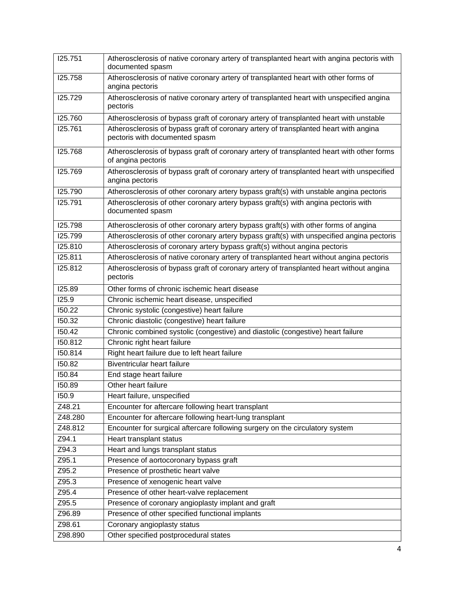| 125.751 | Atherosclerosis of native coronary artery of transplanted heart with angina pectoris with<br>documented spasm          |
|---------|------------------------------------------------------------------------------------------------------------------------|
| 125.758 | Atherosclerosis of native coronary artery of transplanted heart with other forms of<br>angina pectoris                 |
| 125.729 | Atherosclerosis of native coronary artery of transplanted heart with unspecified angina<br>pectoris                    |
| 125.760 | Atherosclerosis of bypass graft of coronary artery of transplanted heart with unstable                                 |
| 125.761 | Atherosclerosis of bypass graft of coronary artery of transplanted heart with angina<br>pectoris with documented spasm |
| 125.768 | Atherosclerosis of bypass graft of coronary artery of transplanted heart with other forms<br>of angina pectoris        |
| 125.769 | Atherosclerosis of bypass graft of coronary artery of transplanted heart with unspecified<br>angina pectoris           |
| 125.790 | Atherosclerosis of other coronary artery bypass graft(s) with unstable angina pectoris                                 |
| 125.791 | Atherosclerosis of other coronary artery bypass graft(s) with angina pectoris with<br>documented spasm                 |
| I25.798 | Atherosclerosis of other coronary artery bypass graft(s) with other forms of angina                                    |
| I25.799 | Atherosclerosis of other coronary artery bypass graft(s) with unspecified angina pectoris                              |
| 125.810 | Atherosclerosis of coronary artery bypass graft(s) without angina pectoris                                             |
| 125.811 | Atherosclerosis of native coronary artery of transplanted heart without angina pectoris                                |
| 125.812 | Atherosclerosis of bypass graft of coronary artery of transplanted heart without angina<br>pectoris                    |
| 125.89  | Other forms of chronic ischemic heart disease                                                                          |
| 125.9   | Chronic ischemic heart disease, unspecified                                                                            |
| 150.22  | Chronic systolic (congestive) heart failure                                                                            |
| 150.32  | Chronic diastolic (congestive) heart failure                                                                           |
| 150.42  | Chronic combined systolic (congestive) and diastolic (congestive) heart failure                                        |
| 150.812 | Chronic right heart failure                                                                                            |
| 150.814 | Right heart failure due to left heart failure                                                                          |
| 150.82  | Biventricular heart failure                                                                                            |
| 150.84  | End stage heart failure                                                                                                |
| 150.89  | Other heart failure                                                                                                    |
| 150.9   | Heart failure, unspecified                                                                                             |
| Z48.21  | Encounter for aftercare following heart transplant                                                                     |
| Z48.280 | Encounter for aftercare following heart-lung transplant                                                                |
| Z48.812 | Encounter for surgical aftercare following surgery on the circulatory system                                           |
| Z94.1   | Heart transplant status                                                                                                |
| Z94.3   | Heart and lungs transplant status                                                                                      |
| Z95.1   | Presence of aortocoronary bypass graft                                                                                 |
| Z95.2   | Presence of prosthetic heart valve                                                                                     |
| Z95.3   | Presence of xenogenic heart valve                                                                                      |
| Z95.4   | Presence of other heart-valve replacement                                                                              |
| Z95.5   | Presence of coronary angioplasty implant and graft                                                                     |
| Z96.89  | Presence of other specified functional implants                                                                        |
| Z98.61  | Coronary angioplasty status                                                                                            |
| Z98.890 | Other specified postprocedural states                                                                                  |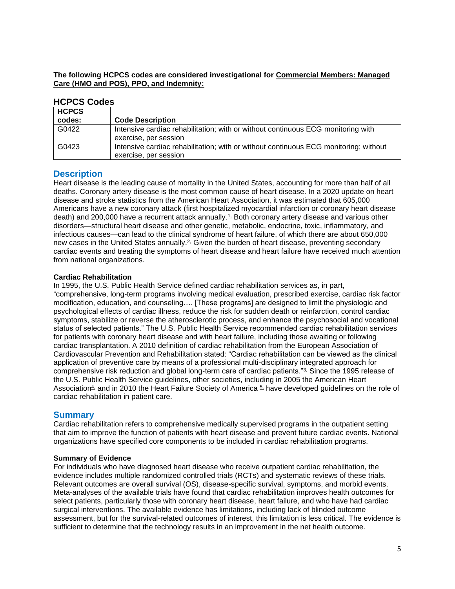**The following HCPCS codes are considered investigational for Commercial Members: Managed Care (HMO and POS), PPO, and Indemnity:**

| non oo oo dad |                                                                                      |
|---------------|--------------------------------------------------------------------------------------|
| <b>HCPCS</b>  |                                                                                      |
| codes:        | <b>Code Description</b>                                                              |
| G0422         | Intensive cardiac rehabilitation; with or without continuous ECG monitoring with     |
|               | exercise, per session                                                                |
| G0423         | Intensive cardiac rehabilitation; with or without continuous ECG monitoring; without |
|               | exercise, per session                                                                |

### **HCPCS Codes**

### <span id="page-4-0"></span>**Description**

Heart disease is the leading cause of mortality in the United States, accounting for more than half of all deaths. Coronary artery disease is the most common cause of heart disease. In a 2020 update on heart disease and stroke statistics from the American Heart Association, it was estimated that 605,000 Americans have a new coronary attack (first hospitalized myocardial infarction or coronary heart disease death) and 200,000 have a recurrent attack annually.<sup>1</sup> Both coronary artery disease and various other disorders—structural heart disease and other genetic, metabolic, endocrine, toxic, inflammatory, and infectious causes—can lead to the clinical syndrome of heart failure, of which there are about 650,000 new cases in the United States annually.<sup>2</sup> Given the burden of heart disease, preventing secondary cardiac events and treating the symptoms of heart disease and heart failure have received much attention from national organizations.

#### **Cardiac Rehabilitation**

In 1995, the U.S. Public Health Service defined cardiac rehabilitation services as, in part, "comprehensive, long-term programs involving medical evaluation, prescribed exercise, cardiac risk factor modification, education, and counseling…. [These programs] are designed to limit the physiologic and psychological effects of cardiac illness, reduce the risk for sudden death or reinfarction, control cardiac symptoms, stabilize or reverse the atherosclerotic process, and enhance the psychosocial and vocational status of selected patients." The U.S. Public Health Service recommended cardiac rehabilitation services for patients with coronary heart disease and with heart failure, including those awaiting or following cardiac transplantation. A 2010 definition of cardiac rehabilitation from the European Association of Cardiovascular Prevention and Rehabilitation stated: "Cardiac rehabilitation can be viewed as the clinical application of preventive care by means of a professional multi-disciplinary integrated approach for comprehensive risk reduction and global long-term care of cardiac patients."[3,](https://www.evidencepositioningsystem.com/_w_ab938f635a7d5afabef40326cbc6ec6c7e93d417148dc094/bcbsa_html/BCBSA/html/_blank) Since the 1995 release of the U.S. Public Health Service guidelines, other societies, including in 2005 the American Heart Association<sup>4</sup> and in 2010 the Heart Failure Society of America  $\frac{5}{12}$  have developed guidelines on the role of cardiac rehabilitation in patient care.

### **Summary**

Cardiac rehabilitation refers to comprehensive medically supervised programs in the outpatient setting that aim to improve the function of patients with heart disease and prevent future cardiac events. National organizations have specified core components to be included in cardiac rehabilitation programs.

#### **Summary of Evidence**

For individuals who have diagnosed heart disease who receive outpatient cardiac rehabilitation, the evidence includes multiple randomized controlled trials (RCTs) and systematic reviews of these trials. Relevant outcomes are overall survival (OS), disease-specific survival, symptoms, and morbid events. Meta-analyses of the available trials have found that cardiac rehabilitation improves health outcomes for select patients, particularly those with coronary heart disease, heart failure, and who have had cardiac surgical interventions. The available evidence has limitations, including lack of blinded outcome assessment, but for the survival-related outcomes of interest, this limitation is less critical. The evidence is sufficient to determine that the technology results in an improvement in the net health outcome.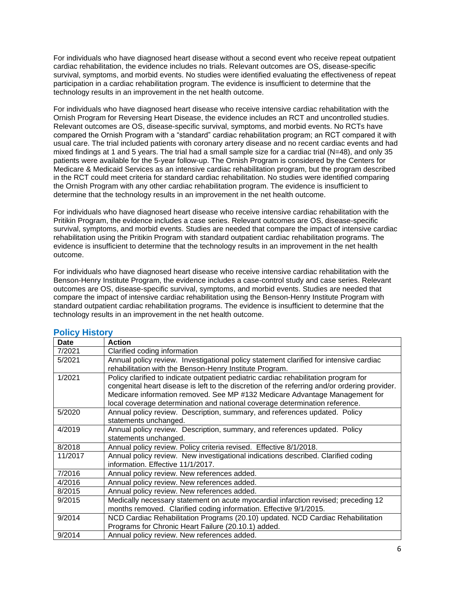For individuals who have diagnosed heart disease without a second event who receive repeat outpatient cardiac rehabilitation, the evidence includes no trials. Relevant outcomes are OS, disease-specific survival, symptoms, and morbid events. No studies were identified evaluating the effectiveness of repeat participation in a cardiac rehabilitation program. The evidence is insufficient to determine that the technology results in an improvement in the net health outcome.

For individuals who have diagnosed heart disease who receive intensive cardiac rehabilitation with the Ornish Program for Reversing Heart Disease, the evidence includes an RCT and uncontrolled studies. Relevant outcomes are OS, disease-specific survival, symptoms, and morbid events. No RCTs have compared the Ornish Program with a "standard" cardiac rehabilitation program; an RCT compared it with usual care. The trial included patients with coronary artery disease and no recent cardiac events and had mixed findings at 1 and 5 years. The trial had a small sample size for a cardiac trial (N=48), and only 35 patients were available for the 5-year follow-up. The Ornish Program is considered by the Centers for Medicare & Medicaid Services as an intensive cardiac rehabilitation program, but the program described in the RCT could meet criteria for standard cardiac rehabilitation. No studies were identified comparing the Ornish Program with any other cardiac rehabilitation program. The evidence is insufficient to determine that the technology results in an improvement in the net health outcome.

For individuals who have diagnosed heart disease who receive intensive cardiac rehabilitation with the Pritikin Program, the evidence includes a case series. Relevant outcomes are OS, disease-specific survival, symptoms, and morbid events. Studies are needed that compare the impact of intensive cardiac rehabilitation using the Pritikin Program with standard outpatient cardiac rehabilitation programs. The evidence is insufficient to determine that the technology results in an improvement in the net health outcome.

For individuals who have diagnosed heart disease who receive intensive cardiac rehabilitation with the Benson-Henry Institute Program, the evidence includes a case-control study and case series. Relevant outcomes are OS, disease-specific survival, symptoms, and morbid events. Studies are needed that compare the impact of intensive cardiac rehabilitation using the Benson-Henry Institute Program with standard outpatient cardiac rehabilitation programs. The evidence is insufficient to determine that the technology results in an improvement in the net health outcome.

| <b>Date</b> | <b>Action</b>                                                                                 |
|-------------|-----------------------------------------------------------------------------------------------|
| 7/2021      | Clarified coding information                                                                  |
| 5/2021      | Annual policy review. Investigational policy statement clarified for intensive cardiac        |
|             | rehabilitation with the Benson-Henry Institute Program.                                       |
| 1/2021      | Policy clarified to indicate outpatient pediatric cardiac rehabilitation program for          |
|             | congenital heart disease is left to the discretion of the referring and/or ordering provider. |
|             | Medicare information removed. See MP #132 Medicare Advantage Management for                   |
|             | local coverage determination and national coverage determination reference.                   |
| 5/2020      | Annual policy review. Description, summary, and references updated. Policy                    |
|             | statements unchanged.                                                                         |
| 4/2019      | Annual policy review. Description, summary, and references updated. Policy                    |
|             | statements unchanged.                                                                         |
| 8/2018      | Annual policy review. Policy criteria revised. Effective 8/1/2018.                            |
| 11/2017     | Annual policy review. New investigational indications described. Clarified coding             |
|             | information. Effective 11/1/2017.                                                             |
| 7/2016      | Annual policy review. New references added.                                                   |
| 4/2016      | Annual policy review. New references added.                                                   |
| 8/2015      | Annual policy review. New references added.                                                   |
| 9/2015      | Medically necessary statement on acute myocardial infarction revised; preceding 12            |
|             | months removed. Clarified coding information. Effective 9/1/2015.                             |
| 9/2014      | NCD Cardiac Rehabilitation Programs (20.10) updated. NCD Cardiac Rehabilitation               |
|             | Programs for Chronic Heart Failure (20.10.1) added.                                           |
| 9/2014      | Annual policy review. New references added.                                                   |

## <span id="page-5-0"></span>**Policy History**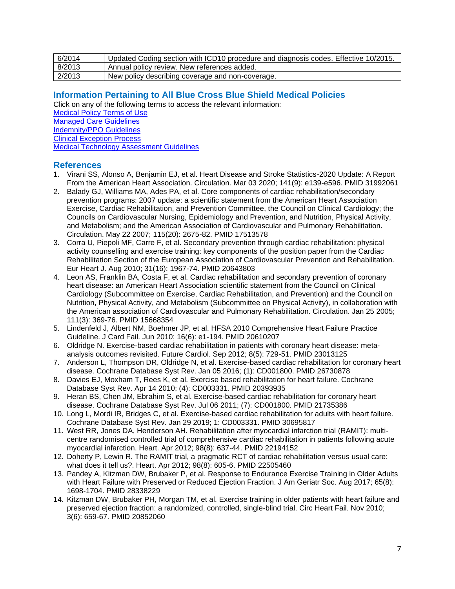| 6/2014 | Updated Coding section with ICD10 procedure and diagnosis codes. Effective 10/2015. |
|--------|-------------------------------------------------------------------------------------|
| 8/2013 | Annual policy review. New references added.                                         |
| 2/2013 | New policy describing coverage and non-coverage.                                    |

# <span id="page-6-0"></span>**Information Pertaining to All Blue Cross Blue Shield Medical Policies**

Click on any of the following terms to access the relevant information: [Medical Policy Terms of Use](http://www.bluecrossma.org/medical-policies/sites/g/files/csphws2091/files/acquiadam-assets/Medical_Policy_Terms_of_Use_prn.pdf)

[Managed Care Guidelines](http://www.bluecrossma.org/medical-policies/sites/g/files/csphws2091/files/acquiadam-assets/Managed_Care_Guidelines_prn.pdf)

[Indemnity/PPO Guidelines](http://www.bluecrossma.org/medical-policies/sites/g/files/csphws2091/files/acquiadam-assets/Indemnity_and_PPO_Guidelines_prn.pdf)

[Clinical Exception Process](http://www.bluecrossma.org/medical-policies/sites/g/files/csphws2091/files/acquiadam-assets/Clinical_Exception_Process_prn.pdf)

[Medical Technology Assessment Guidelines](http://www.bluecrossma.org/medical-policies/sites/g/files/csphws2091/files/acquiadam-assets/Medical_Technology_Assessment_Guidelines_prn.pdf)

## <span id="page-6-1"></span>**References**

- 1. Virani SS, Alonso A, Benjamin EJ, et al. Heart Disease and Stroke Statistics-2020 Update: A Report From the American Heart Association. Circulation. Mar 03 2020; 141(9): e139-e596. PMID 31992061
- 2. Balady GJ, Williams MA, Ades PA, et al. Core components of cardiac rehabilitation/secondary prevention programs: 2007 update: a scientific statement from the American Heart Association Exercise, Cardiac Rehabilitation, and Prevention Committee, the Council on Clinical Cardiology; the Councils on Cardiovascular Nursing, Epidemiology and Prevention, and Nutrition, Physical Activity, and Metabolism; and the American Association of Cardiovascular and Pulmonary Rehabilitation. Circulation. May 22 2007; 115(20): 2675-82. PMID 17513578
- 3. Corra U, Piepoli MF, Carre F, et al. Secondary prevention through cardiac rehabilitation: physical activity counselling and exercise training: key components of the position paper from the Cardiac Rehabilitation Section of the European Association of Cardiovascular Prevention and Rehabilitation. Eur Heart J. Aug 2010; 31(16): 1967-74. PMID 20643803
- 4. Leon AS, Franklin BA, Costa F, et al. Cardiac rehabilitation and secondary prevention of coronary heart disease: an American Heart Association scientific statement from the Council on Clinical Cardiology (Subcommittee on Exercise, Cardiac Rehabilitation, and Prevention) and the Council on Nutrition, Physical Activity, and Metabolism (Subcommittee on Physical Activity), in collaboration with the American association of Cardiovascular and Pulmonary Rehabilitation. Circulation. Jan 25 2005; 111(3): 369-76. PMID 15668354
- 5. Lindenfeld J, Albert NM, Boehmer JP, et al. HFSA 2010 Comprehensive Heart Failure Practice Guideline. J Card Fail. Jun 2010; 16(6): e1-194. PMID 20610207
- 6. Oldridge N. Exercise-based cardiac rehabilitation in patients with coronary heart disease: metaanalysis outcomes revisited. Future Cardiol. Sep 2012; 8(5): 729-51. PMID 23013125
- 7. Anderson L, Thompson DR, Oldridge N, et al. Exercise-based cardiac rehabilitation for coronary heart disease. Cochrane Database Syst Rev. Jan 05 2016; (1): CD001800. PMID 26730878
- 8. Davies EJ, Moxham T, Rees K, et al. Exercise based rehabilitation for heart failure. Cochrane Database Syst Rev. Apr 14 2010; (4): CD003331. PMID 20393935
- 9. Heran BS, Chen JM, Ebrahim S, et al. Exercise-based cardiac rehabilitation for coronary heart disease. Cochrane Database Syst Rev. Jul 06 2011; (7): CD001800. PMID 21735386
- 10. Long L, Mordi IR, Bridges C, et al. Exercise-based cardiac rehabilitation for adults with heart failure. Cochrane Database Syst Rev. Jan 29 2019; 1: CD003331. PMID 30695817
- 11. West RR, Jones DA, Henderson AH. Rehabilitation after myocardial infarction trial (RAMIT): multicentre randomised controlled trial of comprehensive cardiac rehabilitation in patients following acute myocardial infarction. Heart. Apr 2012; 98(8): 637-44. PMID 22194152
- 12. Doherty P, Lewin R. The RAMIT trial, a pragmatic RCT of cardiac rehabilitation versus usual care: what does it tell us?. Heart. Apr 2012; 98(8): 605-6. PMID 22505460
- 13. Pandey A, Kitzman DW, Brubaker P, et al. Response to Endurance Exercise Training in Older Adults with Heart Failure with Preserved or Reduced Ejection Fraction. J Am Geriatr Soc. Aug 2017; 65(8): 1698-1704. PMID 28338229
- 14. Kitzman DW, Brubaker PH, Morgan TM, et al. Exercise training in older patients with heart failure and preserved ejection fraction: a randomized, controlled, single-blind trial. Circ Heart Fail. Nov 2010; 3(6): 659-67. PMID 20852060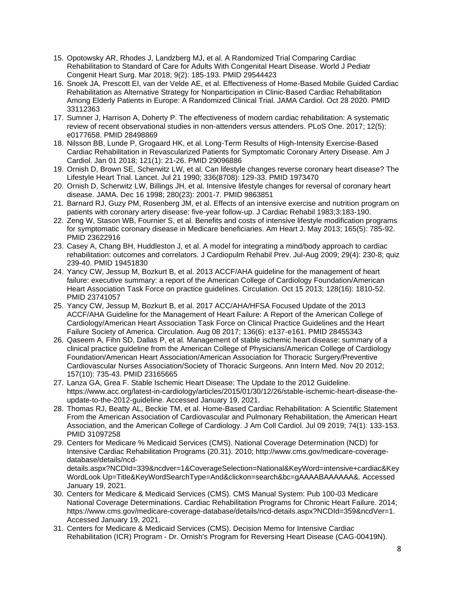- 15. Opotowsky AR, Rhodes J, Landzberg MJ, et al. A Randomized Trial Comparing Cardiac Rehabilitation to Standard of Care for Adults With Congenital Heart Disease. World J Pediatr Congenit Heart Surg. Mar 2018; 9(2): 185-193. PMID 29544423
- 16. Snoek JA, Prescott EI, van der Velde AE, et al. Effectiveness of Home-Based Mobile Guided Cardiac Rehabilitation as Alternative Strategy for Nonparticipation in Clinic-Based Cardiac Rehabilitation Among Elderly Patients in Europe: A Randomized Clinical Trial. JAMA Cardiol. Oct 28 2020. PMID 33112363
- 17. Sumner J, Harrison A, Doherty P. The effectiveness of modern cardiac rehabilitation: A systematic review of recent observational studies in non-attenders versus attenders. PLoS One. 2017; 12(5): e0177658. PMID 28498869
- 18. Nilsson BB, Lunde P, Grogaard HK, et al. Long-Term Results of High-Intensity Exercise-Based Cardiac Rehabilitation in Revascularized Patients for Symptomatic Coronary Artery Disease. Am J Cardiol. Jan 01 2018; 121(1): 21-26. PMID 29096886
- 19. Ornish D, Brown SE, Scherwitz LW, et al. Can lifestyle changes reverse coronary heart disease? The Lifestyle Heart Trial. Lancet. Jul 21 1990; 336(8708): 129-33. PMID 1973470
- 20. Ornish D, Scherwitz LW, Billings JH, et al. Intensive lifestyle changes for reversal of coronary heart disease. JAMA. Dec 16 1998; 280(23): 2001-7. PMID 9863851
- 21. Barnard RJ, Guzy PM, Rosenberg JM, et al. Effects of an intensive exercise and nutrition program on patients with coronary artery disease: five-year follow-up. J Cardiac Rehabil 1983;3:183-190.
- 22. Zeng W, Stason WB, Fournier S, et al. Benefits and costs of intensive lifestyle modification programs for symptomatic coronary disease in Medicare beneficiaries. Am Heart J. May 2013; 165(5): 785-92. PMID 23622916
- 23. Casey A, Chang BH, Huddleston J, et al. A model for integrating a mind/body approach to cardiac rehabilitation: outcomes and correlators. J Cardiopulm Rehabil Prev. Jul-Aug 2009; 29(4): 230-8; quiz 239-40. PMID 19451830
- 24. Yancy CW, Jessup M, Bozkurt B, et al. 2013 ACCF/AHA guideline for the management of heart failure: executive summary: a report of the American College of Cardiology Foundation/American Heart Association Task Force on practice guidelines. Circulation. Oct 15 2013; 128(16): 1810-52. PMID 23741057
- 25. Yancy CW, Jessup M, Bozkurt B, et al. 2017 ACC/AHA/HFSA Focused Update of the 2013 ACCF/AHA Guideline for the Management of Heart Failure: A Report of the American College of Cardiology/American Heart Association Task Force on Clinical Practice Guidelines and the Heart Failure Society of America. Circulation. Aug 08 2017; 136(6): e137-e161. PMID 28455343
- 26. Qaseem A, Fihn SD, Dallas P, et al. Management of stable ischemic heart disease: summary of a clinical practice guideline from the American College of Physicians/American College of Cardiology Foundation/American Heart Association/American Association for Thoracic Surgery/Preventive Cardiovascular Nurses Association/Society of Thoracic Surgeons. Ann Intern Med. Nov 20 2012; 157(10): 735-43. PMID 23165665
- 27. Lanza GA, Grea F. Stable Ischemic Heart Disease: The Update to the 2012 Guideline. https://www.acc.org/latest-in-cardiology/articles/2015/01/30/12/26/stable-ischemic-heart-disease-theupdate-to-the-2012-guideline. Accessed January 19, 2021.
- 28. Thomas RJ, Beatty AL, Beckie TM, et al. Home-Based Cardiac Rehabilitation: A Scientific Statement From the American Association of Cardiovascular and Pulmonary Rehabilitation, the American Heart Association, and the American College of Cardiology. J Am Coll Cardiol. Jul 09 2019; 74(1): 133-153. PMID 31097258
- 29. Centers for Medicare % Medicaid Services (CMS). National Coverage Determination (NCD) for Intensive Cardiac Rehabilitation Programs (20.31). 2010; http://www.cms.gov/medicare-coveragedatabase/details/ncddetails.aspx?NCDId=339&ncdver=1&CoverageSelection=National&KeyWord=intensive+cardiac&Key WordLook Up=Title&KeyWordSearchType=And&clickon=search&bc=gAAAABAAAAA&. Accessed January 19, 2021.
- 30. Centers for Medicare & Medicaid Services (CMS). CMS Manual System: Pub 100-03 Medicare National Coverage Determinations. Cardiac Rehabilitation Programs for Chronic Heart Failure. 2014; https://www.cms.gov/medicare-coverage-database/details/ncd-details.aspx?NCDId=359&ncdVer=1. Accessed January 19, 2021.
- 31. Centers for Medicare & Medicaid Services (CMS). Decision Memo for Intensive Cardiac Rehabilitation (ICR) Program - Dr. Ornish's Program for Reversing Heart Disease (CAG-00419N).